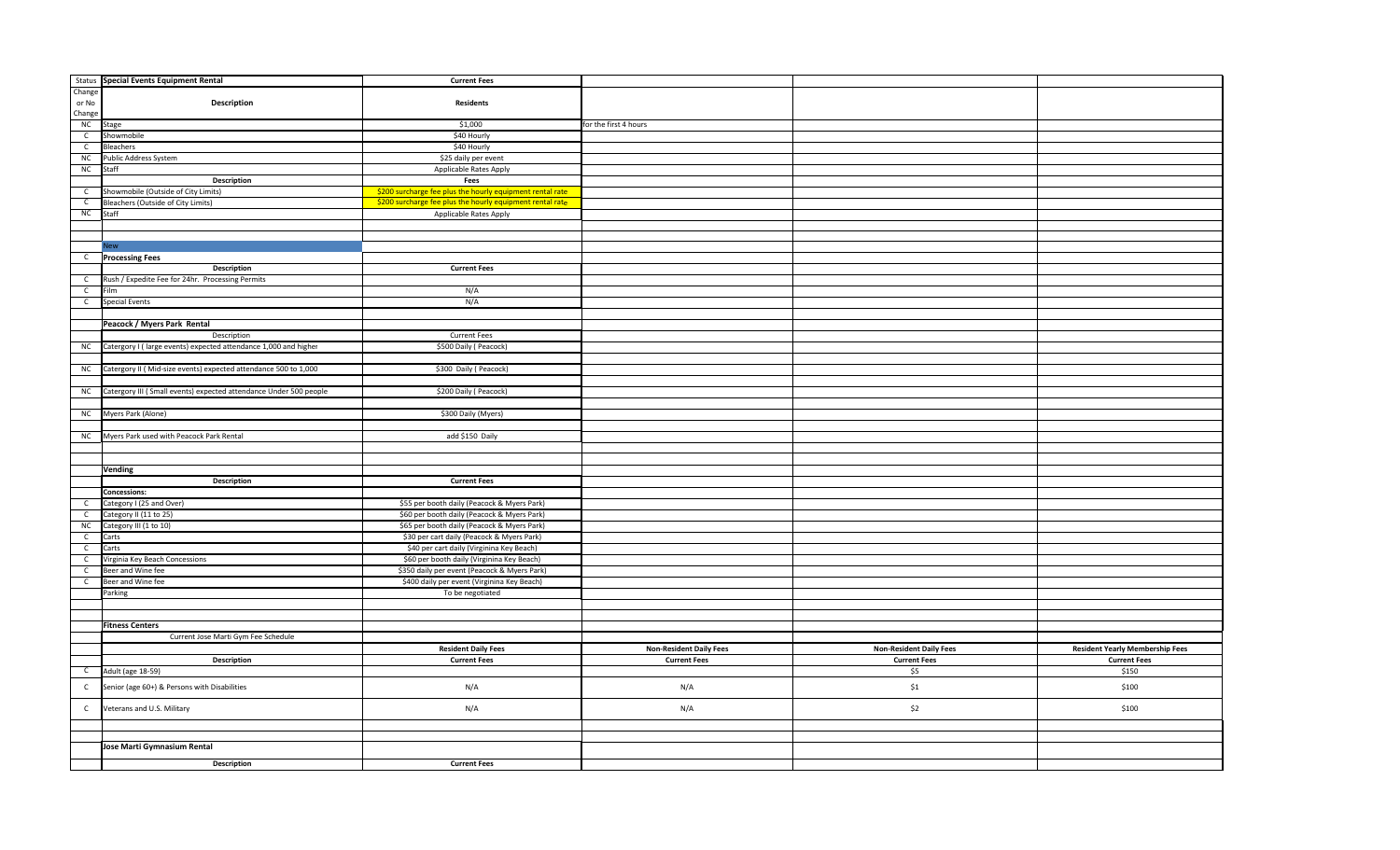|                | Status Special Events Equipment Rental                             | <b>Current Fees</b>                                       |                                |                                |                                        |
|----------------|--------------------------------------------------------------------|-----------------------------------------------------------|--------------------------------|--------------------------------|----------------------------------------|
| Change         |                                                                    |                                                           |                                |                                |                                        |
| or No          | Description                                                        | <b>Residents</b>                                          |                                |                                |                                        |
| Change         |                                                                    |                                                           |                                |                                |                                        |
| NC             | Stage                                                              | \$1,000                                                   | for the first 4 hours          |                                |                                        |
| $\mathsf C$    | Showmobile                                                         | \$40 Hourly                                               |                                |                                |                                        |
| $\mathsf{C}$   | Bleachers                                                          | \$40 Hourly                                               |                                |                                |                                        |
| ${\sf NC}$     | Public Address System                                              | \$25 daily per event                                      |                                |                                |                                        |
| NC             | Staff                                                              | Applicable Rates Apply                                    |                                |                                |                                        |
|                | Description                                                        | Fees                                                      |                                |                                |                                        |
| $\mathsf{C}$   | Showmobile (Outside of City Limits)                                | \$200 surcharge fee plus the hourly equipment rental rate |                                |                                |                                        |
| $\mathsf{C}$   | Bleachers (Outside of City Limits)                                 | \$200 surcharge fee plus the hourly equipment rental rate |                                |                                |                                        |
| NC             | Staff                                                              | Applicable Rates Apply                                    |                                |                                |                                        |
|                |                                                                    |                                                           |                                |                                |                                        |
|                |                                                                    |                                                           |                                |                                |                                        |
|                | lew                                                                |                                                           |                                |                                |                                        |
| $\mathsf{C}$   | <b>Processing Fees</b>                                             |                                                           |                                |                                |                                        |
|                | Description                                                        | <b>Current Fees</b>                                       |                                |                                |                                        |
| $\mathsf{C}$   | Rush / Expedite Fee for 24hr. Processing Permits                   |                                                           |                                |                                |                                        |
| $\mathsf{C}$   | Film                                                               | N/A                                                       |                                |                                |                                        |
| $\overline{c}$ | <b>Special Events</b>                                              | N/A                                                       |                                |                                |                                        |
|                |                                                                    |                                                           |                                |                                |                                        |
|                | Peacock / Myers Park Rental                                        |                                                           |                                |                                |                                        |
|                | Description                                                        | <b>Current Fees</b>                                       |                                |                                |                                        |
| NC             | Catergory I (large events) expected attendance 1,000 and higher    | \$500 Daily ( Peacock)                                    |                                |                                |                                        |
|                |                                                                    |                                                           |                                |                                |                                        |
| <b>NC</b>      | Catergory II (Mid-size events) expected attendance 500 to 1,000    | \$300 Daily (Peacock)                                     |                                |                                |                                        |
|                |                                                                    |                                                           |                                |                                |                                        |
| NC             | Catergory III ( Small events) expected attendance Under 500 people | \$200 Daily ( Peacock)                                    |                                |                                |                                        |
|                |                                                                    |                                                           |                                |                                |                                        |
| NC             | Myers Park (Alone)                                                 | \$300 Daily (Myers)                                       |                                |                                |                                        |
|                |                                                                    |                                                           |                                |                                |                                        |
|                | NC Myers Park used with Peacock Park Rental                        | add \$150 Daily                                           |                                |                                |                                        |
|                |                                                                    |                                                           |                                |                                |                                        |
|                |                                                                    |                                                           |                                |                                |                                        |
|                | Vending                                                            |                                                           |                                |                                |                                        |
|                | <b>Description</b>                                                 | <b>Current Fees</b>                                       |                                |                                |                                        |
|                | <b>Concessions:</b>                                                |                                                           |                                |                                |                                        |
| $\mathsf{C}$   | Category I (25 and Over)                                           | \$55 per booth daily (Peacock & Myers Park)               |                                |                                |                                        |
| $\mathsf{C}$   | Category II (11 to 25)                                             | \$60 per booth daily (Peacock & Myers Park)               |                                |                                |                                        |
| ${\sf NC}$     | Category III (1 to 10)                                             | \$65 per booth daily (Peacock & Myers Park)               |                                |                                |                                        |
| $\overline{c}$ | Carts                                                              | \$30 per cart daily (Peacock & Myers Park)                |                                |                                |                                        |
| $\overline{c}$ | Carts                                                              | \$40 per cart daily (Virginina Key Beach)                 |                                |                                |                                        |
| $\mathsf{C}$   | Virginia Key Beach Concessions                                     | \$60 per booth daily (Virginina Key Beach)                |                                |                                |                                        |
| $\mathsf{C}$   | Beer and Wine fee                                                  | \$350 daily per event (Peacock & Myers Park)              |                                |                                |                                        |
| $\overline{c}$ | Beer and Wine fee                                                  | \$400 daily per event (Virginina Key Beach)               |                                |                                |                                        |
|                | Parking                                                            | To be negotiated                                          |                                |                                |                                        |
|                |                                                                    |                                                           |                                |                                |                                        |
|                |                                                                    |                                                           |                                |                                |                                        |
|                | <b>Fitness Centers</b>                                             |                                                           |                                |                                |                                        |
|                |                                                                    |                                                           |                                |                                |                                        |
|                | Current Jose Marti Gym Fee Schedule                                |                                                           |                                |                                |                                        |
|                |                                                                    | <b>Resident Daily Fees</b>                                | <b>Non-Resident Daily Fees</b> | <b>Non-Resident Daily Fees</b> | <b>Resident Yearly Membership Fees</b> |
|                | Description                                                        | <b>Current Fees</b>                                       | <b>Current Fees</b>            | <b>Current Fees</b>            | <b>Current Fees</b>                    |
| $\mathsf C$    | Adult (age 18-59)                                                  |                                                           |                                | \$5                            | \$150                                  |
| $\mathsf{C}$   | Senior (age 60+) & Persons with Disabilities                       | N/A                                                       | N/A                            | \$1                            | \$100                                  |
| $\mathsf{C}$   | Veterans and U.S. Military                                         | N/A                                                       | N/A                            | \$2                            | \$100                                  |
|                |                                                                    |                                                           |                                |                                |                                        |
|                |                                                                    |                                                           |                                |                                |                                        |
|                | Jose Marti Gymnasium Rental                                        |                                                           |                                |                                |                                        |
|                | Description                                                        | <b>Current Fees</b>                                       |                                |                                |                                        |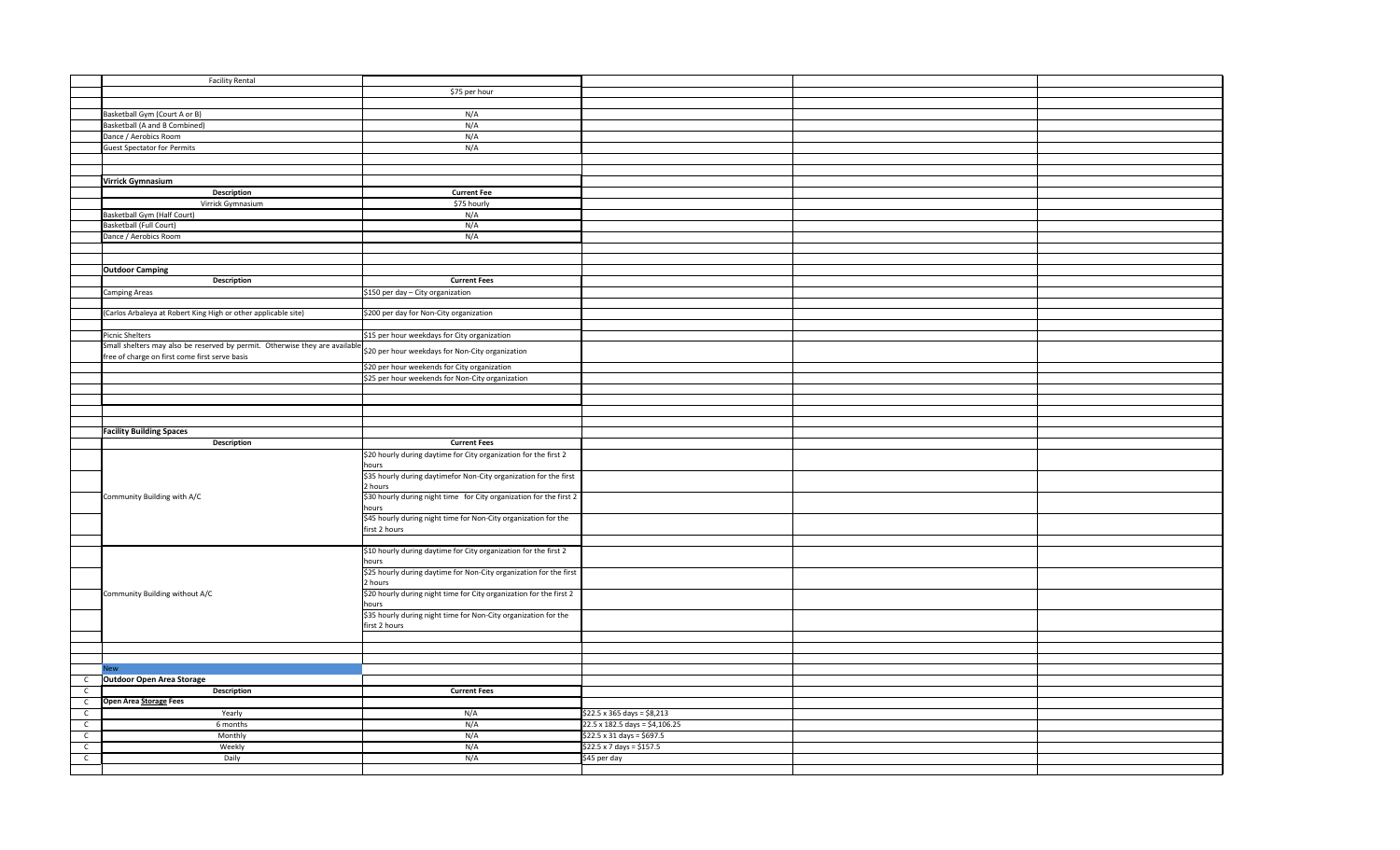| <b>Facility Rental</b>                                                      |                                                                                  |                                           |  |
|-----------------------------------------------------------------------------|----------------------------------------------------------------------------------|-------------------------------------------|--|
|                                                                             | \$75 per hour                                                                    |                                           |  |
|                                                                             |                                                                                  |                                           |  |
|                                                                             |                                                                                  |                                           |  |
| Basketball Gym (Court A or B)                                               | N/A                                                                              |                                           |  |
| <b>Basketball (A and B Combined)</b>                                        | N/A                                                                              |                                           |  |
| Dance / Aerobics Room                                                       | N/A                                                                              |                                           |  |
| <b>Guest Spectator for Permits</b>                                          | N/A                                                                              |                                           |  |
|                                                                             |                                                                                  |                                           |  |
|                                                                             |                                                                                  |                                           |  |
| Virrick Gymnasium                                                           |                                                                                  |                                           |  |
| <b>Description</b>                                                          | <b>Current Fee</b>                                                               |                                           |  |
|                                                                             |                                                                                  |                                           |  |
| Virrick Gymnasium                                                           | \$75 hourly                                                                      |                                           |  |
| Basketball Gym (Half Court)                                                 | N/A                                                                              |                                           |  |
| Basketball (Full Court)                                                     | N/A                                                                              |                                           |  |
| Dance / Aerobics Room                                                       | N/A                                                                              |                                           |  |
|                                                                             |                                                                                  |                                           |  |
|                                                                             |                                                                                  |                                           |  |
| <b>Outdoor Camping</b>                                                      |                                                                                  |                                           |  |
| <b>Description</b>                                                          | <b>Current Fees</b>                                                              |                                           |  |
|                                                                             |                                                                                  |                                           |  |
| Camping Areas                                                               | \$150 per day - City organization                                                |                                           |  |
|                                                                             |                                                                                  |                                           |  |
| (Carlos Arbaleya at Robert King High or other applicable site)              | \$200 per day for Non-City organization                                          |                                           |  |
|                                                                             |                                                                                  |                                           |  |
| <b>Picnic Shelters</b>                                                      | \$15 per hour weekdays for City organization                                     |                                           |  |
| Small shelters may also be reserved by permit. Otherwise they are available |                                                                                  |                                           |  |
| free of charge on first come first serve basis                              | \$20 per hour weekdays for Non-City organization                                 |                                           |  |
|                                                                             |                                                                                  |                                           |  |
|                                                                             | \$20 per hour weekends for City organization                                     |                                           |  |
|                                                                             | \$25 per hour weekends for Non-City organization                                 |                                           |  |
|                                                                             |                                                                                  |                                           |  |
|                                                                             |                                                                                  |                                           |  |
|                                                                             |                                                                                  |                                           |  |
|                                                                             |                                                                                  |                                           |  |
|                                                                             |                                                                                  |                                           |  |
|                                                                             |                                                                                  |                                           |  |
| <b>Facility Building Spaces</b>                                             |                                                                                  |                                           |  |
| Description                                                                 | <b>Current Fees</b>                                                              |                                           |  |
|                                                                             | \$20 hourly during daytime for City organization for the first 2                 |                                           |  |
|                                                                             | hours                                                                            |                                           |  |
|                                                                             | \$35 hourly during daytimefor Non-City organization for the first                |                                           |  |
|                                                                             | 2 hours                                                                          |                                           |  |
| Community Building with A/C                                                 | \$30 hourly during night time for City organization for the first 2              |                                           |  |
|                                                                             | hours                                                                            |                                           |  |
|                                                                             | \$45 hourly during night time for Non-City organization for the                  |                                           |  |
|                                                                             | first 2 hours                                                                    |                                           |  |
|                                                                             |                                                                                  |                                           |  |
|                                                                             |                                                                                  |                                           |  |
|                                                                             | \$10 hourly during daytime for City organization for the first 2                 |                                           |  |
|                                                                             | hours                                                                            |                                           |  |
|                                                                             | \$25 hourly during daytime for Non-City organization for the first               |                                           |  |
|                                                                             | 2 hours                                                                          |                                           |  |
| Community Building without A/C                                              | \$20 hourly during night time for City organization for the first 2              |                                           |  |
|                                                                             | hours                                                                            |                                           |  |
|                                                                             |                                                                                  |                                           |  |
|                                                                             | \$35 hourly during night time for Non-City organization for the<br>first 2 hours |                                           |  |
|                                                                             |                                                                                  |                                           |  |
|                                                                             |                                                                                  |                                           |  |
|                                                                             |                                                                                  |                                           |  |
|                                                                             |                                                                                  |                                           |  |
|                                                                             |                                                                                  |                                           |  |
| <b>Outdoor Open Area Storage</b>                                            |                                                                                  |                                           |  |
| <b>Description</b>                                                          | <b>Current Fees</b>                                                              |                                           |  |
| Open Area Storage Fees                                                      |                                                                                  |                                           |  |
| Yearly                                                                      |                                                                                  |                                           |  |
|                                                                             | N/A                                                                              | $$22.5 \times 365$ days = $$8,213$        |  |
| 6 months                                                                    | N/A                                                                              | 22.5 x 182.5 days = \$4,106.25            |  |
| Monthly                                                                     | N/A                                                                              | $$22.5 \times 31 \text{ days} = $697.5$   |  |
| Weekly<br>Daily                                                             | N/A<br>N/A                                                                       | \$22.5 x 7 days = \$157.5<br>\$45 per day |  |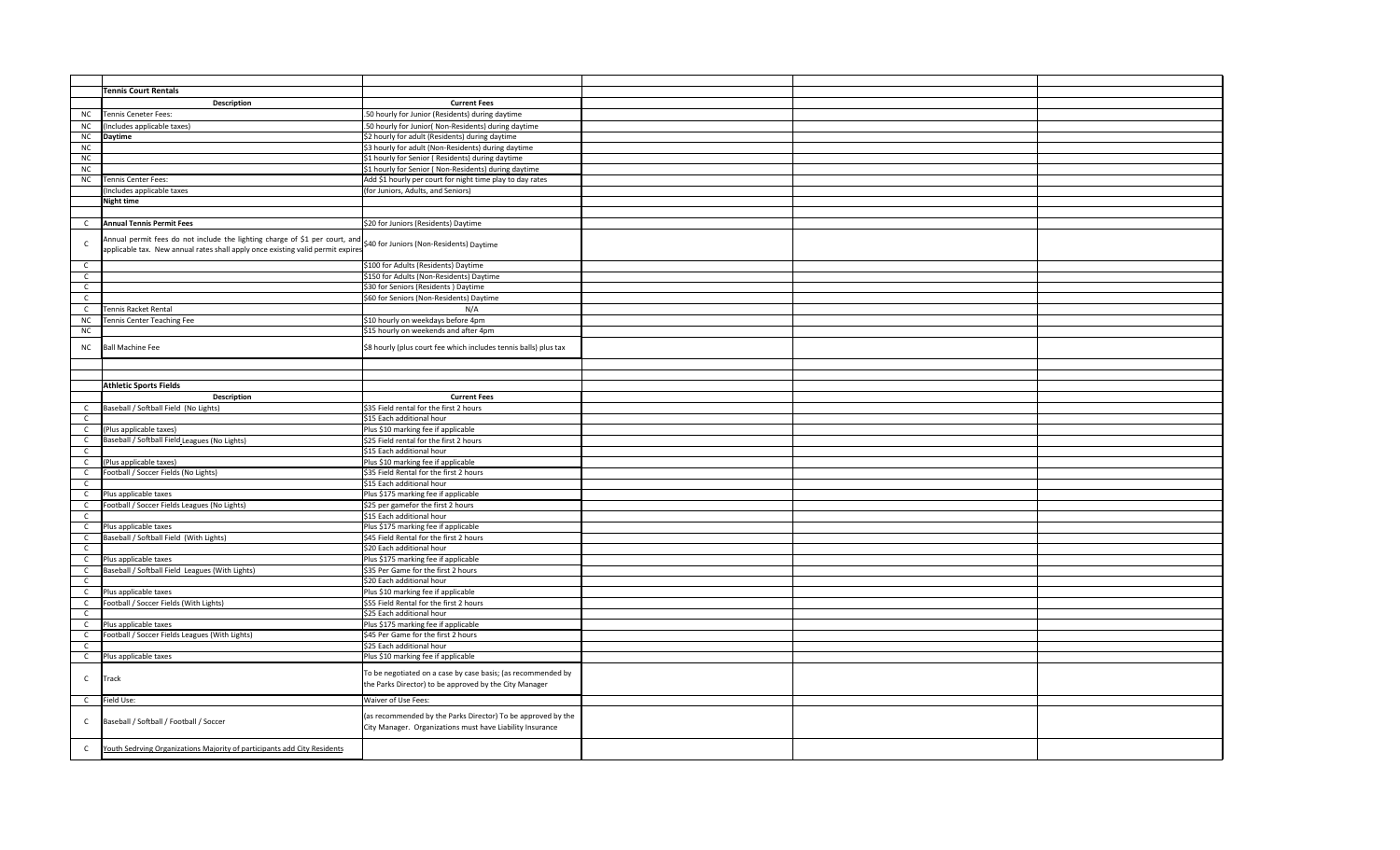|              | <b>Tennis Court Rentals</b>                                                                                                                                    |                                                                                                                           |  |  |
|--------------|----------------------------------------------------------------------------------------------------------------------------------------------------------------|---------------------------------------------------------------------------------------------------------------------------|--|--|
|              | <b>Description</b>                                                                                                                                             | <b>Current Fees</b>                                                                                                       |  |  |
|              | <b>Tennis Ceneter Fees:</b>                                                                                                                                    | 50 hourly for Junior (Residents) during daytime                                                                           |  |  |
| <b>NC</b>    |                                                                                                                                                                |                                                                                                                           |  |  |
| ${\sf NC}$   | ncludes applicable taxes)                                                                                                                                      | .50 hourly for Junior( Non-Residents) during daytime                                                                      |  |  |
| NC           | <b>Daytime</b>                                                                                                                                                 | \$2 hourly for adult (Residents) during daytime                                                                           |  |  |
| NC           |                                                                                                                                                                | \$3 hourly for adult (Non-Residents) during daytime                                                                       |  |  |
| NC           |                                                                                                                                                                | \$1 hourly for Senior (Residents) during daytime                                                                          |  |  |
| NC           |                                                                                                                                                                | \$1 hourly for Senior (Non-Residents) during daytime                                                                      |  |  |
| NC           | Tennis Center Fees:                                                                                                                                            | Add \$1 hourly per court for night time play to day rates                                                                 |  |  |
|              | Includes applicable taxes                                                                                                                                      | for Juniors, Adults, and Seniors)                                                                                         |  |  |
|              | <b>Night time</b>                                                                                                                                              |                                                                                                                           |  |  |
|              |                                                                                                                                                                |                                                                                                                           |  |  |
|              |                                                                                                                                                                |                                                                                                                           |  |  |
| $\mathsf{C}$ | <b>Annual Tennis Permit Fees</b>                                                                                                                               | \$20 for Juniors (Residents) Daytime                                                                                      |  |  |
| C            | Annual permit fees do not include the lighting charge of \$1 per court, and<br>applicable tax. New annual rates shall apply once existing valid permit expires | \$40 for Juniors (Non-Residents) Daytime                                                                                  |  |  |
|              |                                                                                                                                                                |                                                                                                                           |  |  |
| $\mathsf{C}$ |                                                                                                                                                                | \$100 for Adults (Residents) Daytime                                                                                      |  |  |
| $\mathsf{C}$ |                                                                                                                                                                | \$150 for Adults (Non-Residents) Daytime                                                                                  |  |  |
| $\mathsf C$  |                                                                                                                                                                | \$30 for Seniors (Residents) Daytime                                                                                      |  |  |
| $\mathsf{C}$ |                                                                                                                                                                | \$60 for Seniors (Non-Residents) Daytime                                                                                  |  |  |
| $\mathsf{C}$ | <b>Tennis Racket Rental</b>                                                                                                                                    | N/A                                                                                                                       |  |  |
| NC           | <b>Fennis Center Teaching Fee</b>                                                                                                                              | \$10 hourly on weekdays before 4pm                                                                                        |  |  |
| NC           |                                                                                                                                                                |                                                                                                                           |  |  |
|              |                                                                                                                                                                | \$15 hourly on weekends and after 4pm                                                                                     |  |  |
| NC           | <b>Ball Machine Fee</b>                                                                                                                                        | \$8 hourly (plus court fee which includes tennis balls) plus tax                                                          |  |  |
|              |                                                                                                                                                                |                                                                                                                           |  |  |
|              |                                                                                                                                                                |                                                                                                                           |  |  |
|              | <b>Athletic Sports Fields</b>                                                                                                                                  |                                                                                                                           |  |  |
|              | <b>Description</b>                                                                                                                                             | <b>Current Fees</b>                                                                                                       |  |  |
| C            | Baseball / Softball Field (No Lights)                                                                                                                          | \$35 Field rental for the first 2 hours                                                                                   |  |  |
| $\mathsf{C}$ |                                                                                                                                                                | \$15 Each additional hour                                                                                                 |  |  |
| $\mathsf{C}$ | (Plus applicable taxes)                                                                                                                                        | Plus \$10 marking fee if applicable                                                                                       |  |  |
|              |                                                                                                                                                                |                                                                                                                           |  |  |
| $\mathsf{C}$ | Baseball / Softball Field Leagues (No Lights)                                                                                                                  | \$25 Field rental for the first 2 hours                                                                                   |  |  |
| $\mathsf{C}$ |                                                                                                                                                                | \$15 Each additional hour                                                                                                 |  |  |
| $\mathsf{C}$ | (Plus applicable taxes)                                                                                                                                        | Plus \$10 marking fee if applicable                                                                                       |  |  |
| $\mathsf{C}$ | Football / Soccer Fields (No Lights)                                                                                                                           | \$35 Field Rental for the first 2 hours                                                                                   |  |  |
| $\mathsf C$  |                                                                                                                                                                | \$15 Each additional hour                                                                                                 |  |  |
| $\mathsf{C}$ | Plus applicable taxes                                                                                                                                          | Plus \$175 marking fee if applicable                                                                                      |  |  |
| $\mathsf{C}$ | Football / Soccer Fields Leagues (No Lights)                                                                                                                   | \$25 per gamefor the first 2 hours                                                                                        |  |  |
| $\mathsf{C}$ |                                                                                                                                                                | \$15 Each additional hour                                                                                                 |  |  |
| $\mathsf{C}$ | Plus applicable taxes                                                                                                                                          | Plus \$175 marking fee if applicable                                                                                      |  |  |
| $\mathsf{C}$ | Baseball / Softball Field (With Lights)                                                                                                                        | \$45 Field Rental for the first 2 hours                                                                                   |  |  |
| $\mathsf{C}$ |                                                                                                                                                                |                                                                                                                           |  |  |
|              |                                                                                                                                                                | \$20 Each additional hour                                                                                                 |  |  |
| $\mathsf{C}$ | Plus applicable taxes                                                                                                                                          | Plus \$175 marking fee if applicable                                                                                      |  |  |
| $\mathsf C$  | Baseball / Softball Field Leagues (With Lights)                                                                                                                | \$35 Per Game for the first 2 hours                                                                                       |  |  |
| $\mathsf{C}$ |                                                                                                                                                                | \$20 Each additional hour                                                                                                 |  |  |
| $\mathsf{C}$ | Plus applicable taxes                                                                                                                                          | Plus \$10 marking fee if applicable                                                                                       |  |  |
| $\mathsf{C}$ | Football / Soccer Fields (With Lights)                                                                                                                         | \$55 Field Rental for the first 2 hours                                                                                   |  |  |
| $\mathsf{C}$ |                                                                                                                                                                | \$25 Each additional hour                                                                                                 |  |  |
| $\mathsf{C}$ | Plus applicable taxes                                                                                                                                          | Plus \$175 marking fee if applicable                                                                                      |  |  |
| $\mathsf{C}$ | Football / Soccer Fields Leagues (With Lights)                                                                                                                 | \$45 Per Game for the first 2 hours                                                                                       |  |  |
| $\mathsf{C}$ |                                                                                                                                                                | \$25 Each additional hour                                                                                                 |  |  |
| $\mathsf{C}$ | Plus applicable taxes                                                                                                                                          | Plus \$10 marking fee if applicable                                                                                       |  |  |
|              |                                                                                                                                                                |                                                                                                                           |  |  |
| $\mathsf{C}$ | Track                                                                                                                                                          | To be negotiated on a case by case basis; (as recommended by                                                              |  |  |
|              |                                                                                                                                                                | the Parks Director) to be approved by the City Manager                                                                    |  |  |
| $\mathsf{C}$ | Field Use:                                                                                                                                                     | Waiver of Use Fees:                                                                                                       |  |  |
|              |                                                                                                                                                                |                                                                                                                           |  |  |
| C            | Baseball / Softball / Football / Soccer                                                                                                                        | (as recommended by the Parks Director) To be approved by the<br>City Manager. Organizations must have Liability Insurance |  |  |
|              |                                                                                                                                                                |                                                                                                                           |  |  |
| $\mathsf{C}$ | Youth Sedrving Organizations Majority of participants add City Residents                                                                                       |                                                                                                                           |  |  |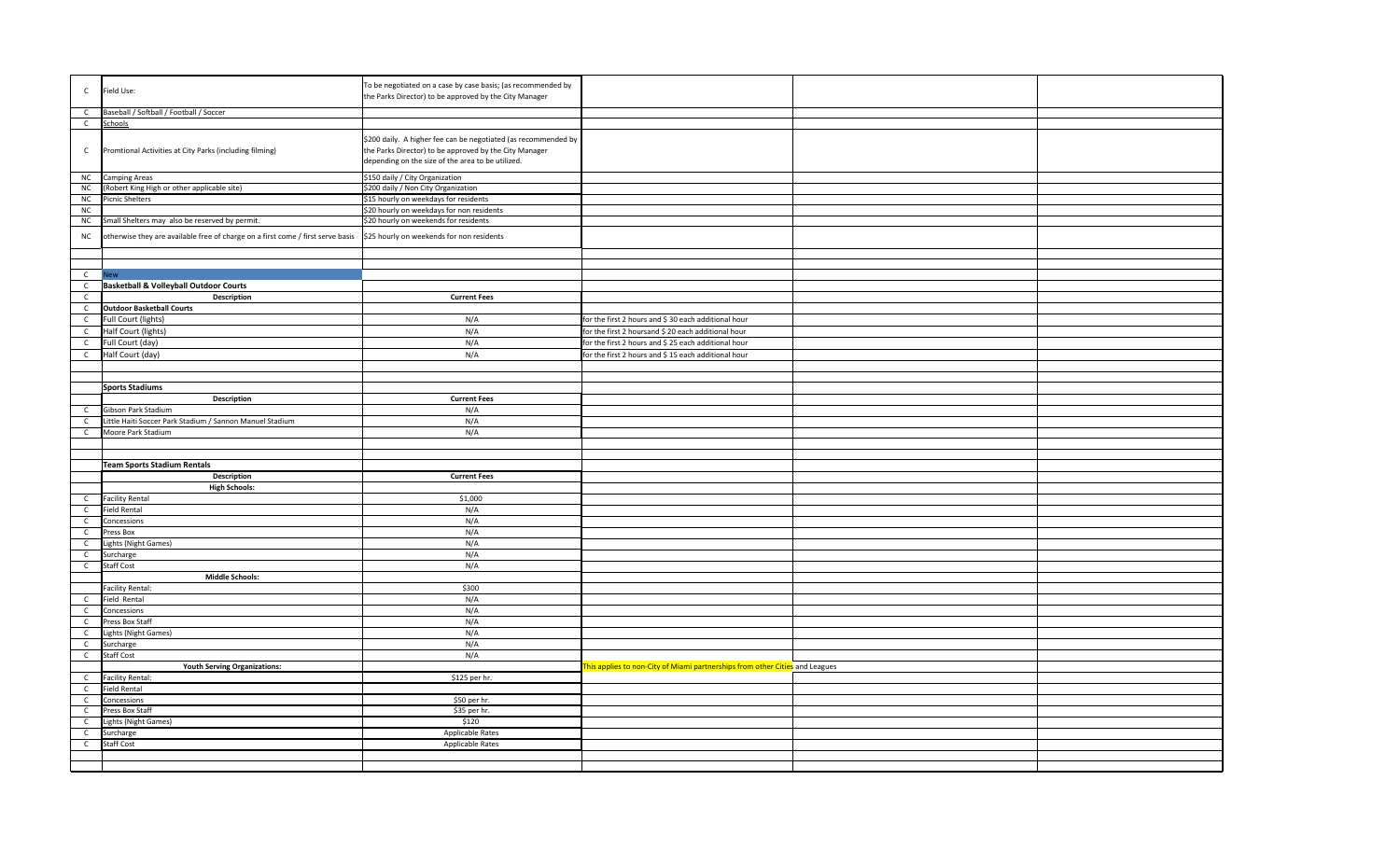| $\mathsf{C}$                 | Field Use:                                                                      | To be negotiated on a case by case basis; (as recommended by<br>the Parks Director) to be approved by the City Manager                                                        |                                                                                                              |  |
|------------------------------|---------------------------------------------------------------------------------|-------------------------------------------------------------------------------------------------------------------------------------------------------------------------------|--------------------------------------------------------------------------------------------------------------|--|
| $\mathsf{C}$                 | Baseball / Softball / Football / Soccer                                         |                                                                                                                                                                               |                                                                                                              |  |
| $\mathsf{C}$                 | Schools                                                                         |                                                                                                                                                                               |                                                                                                              |  |
| $\mathsf{C}$                 | Promtional Activities at City Parks (including filming)                         | \$200 daily. A higher fee can be negotiated (as recommended by<br>the Parks Director) to be approved by the City Manager<br>depending on the size of the area to be utilized. |                                                                                                              |  |
| NC                           | Camping Areas                                                                   | \$150 daily / City Organization                                                                                                                                               |                                                                                                              |  |
| NC                           | (Robert King High or other applicable site)                                     | \$200 daily / Non City Organization                                                                                                                                           |                                                                                                              |  |
| ${\sf NC}$                   | <b>Picnic Shelters</b>                                                          | \$15 hourly on weekdays for residents                                                                                                                                         |                                                                                                              |  |
| NC                           |                                                                                 | \$20 hourly on weekdays for non residents                                                                                                                                     |                                                                                                              |  |
| NC                           | Small Shelters may also be reserved by permit.                                  | \$20 hourly on weekends for residents                                                                                                                                         |                                                                                                              |  |
| NC                           | otherwise they are available free of charge on a first come / first serve basis | \$25 hourly on weekends for non residents                                                                                                                                     |                                                                                                              |  |
|                              |                                                                                 |                                                                                                                                                                               |                                                                                                              |  |
| $\mathsf{C}$                 | <b>New</b>                                                                      |                                                                                                                                                                               |                                                                                                              |  |
| $\mathsf{C}$                 | <b>Basketball &amp; Volleyball Outdoor Courts</b>                               |                                                                                                                                                                               |                                                                                                              |  |
| $\mathsf{C}$                 | <b>Description</b>                                                              | <b>Current Fees</b>                                                                                                                                                           |                                                                                                              |  |
| $\mathsf{C}$                 | <b>Outdoor Basketball Courts</b>                                                |                                                                                                                                                                               |                                                                                                              |  |
| $\mathsf C$                  | Full Court (lights)                                                             | N/A                                                                                                                                                                           | for the first 2 hours and \$ 30 each additional hour                                                         |  |
| $\mathsf{C}$                 | Half Court (lights)                                                             | N/A                                                                                                                                                                           | for the first 2 hoursand \$ 20 each additional hour                                                          |  |
|                              |                                                                                 |                                                                                                                                                                               |                                                                                                              |  |
| $\mathsf{C}$<br>$\mathsf{C}$ | Full Court (day)<br>Half Court (day)                                            | N/A<br>N/A                                                                                                                                                                    | for the first 2 hours and \$ 25 each additional hour<br>for the first 2 hours and \$ 15 each additional hour |  |
|                              |                                                                                 |                                                                                                                                                                               |                                                                                                              |  |
|                              |                                                                                 |                                                                                                                                                                               |                                                                                                              |  |
|                              | <b>Sports Stadiums</b>                                                          |                                                                                                                                                                               |                                                                                                              |  |
|                              | Description                                                                     | <b>Current Fees</b>                                                                                                                                                           |                                                                                                              |  |
| $\mathsf{C}$                 | Gibson Park Stadium                                                             | N/A                                                                                                                                                                           |                                                                                                              |  |
| $\mathsf{C}$                 | Little Haiti Soccer Park Stadium / Sannon Manuel Stadium                        | N/A                                                                                                                                                                           |                                                                                                              |  |
| $\mathsf{C}$                 | Moore Park Stadium                                                              | N/A                                                                                                                                                                           |                                                                                                              |  |
|                              |                                                                                 |                                                                                                                                                                               |                                                                                                              |  |
|                              |                                                                                 |                                                                                                                                                                               |                                                                                                              |  |
|                              | <b>Team Sports Stadium Rentals</b>                                              |                                                                                                                                                                               |                                                                                                              |  |
|                              | <b>Description</b>                                                              | <b>Current Fees</b>                                                                                                                                                           |                                                                                                              |  |
|                              | <b>High Schools:</b>                                                            |                                                                                                                                                                               |                                                                                                              |  |
| $\mathsf{C}$                 | <b>Facility Rental</b>                                                          | \$1,000                                                                                                                                                                       |                                                                                                              |  |
| $\mathsf{C}$                 | <b>Field Rental</b>                                                             | N/A                                                                                                                                                                           |                                                                                                              |  |
| $\mathsf{C}$                 | Concessions                                                                     | N/A                                                                                                                                                                           |                                                                                                              |  |
| $\mathsf{C}$                 | Press Box                                                                       | N/A                                                                                                                                                                           |                                                                                                              |  |
| $\mathsf{C}$                 | Lights (Night Games)                                                            | N/A                                                                                                                                                                           |                                                                                                              |  |
| $\mathsf{C}$                 | Surcharge                                                                       | N/A                                                                                                                                                                           |                                                                                                              |  |
| $\mathsf{C}$                 | Staff Cost                                                                      | N/A                                                                                                                                                                           |                                                                                                              |  |
|                              | <b>Middle Schools:</b>                                                          |                                                                                                                                                                               |                                                                                                              |  |
|                              | <b>Facility Rental:</b>                                                         | \$300                                                                                                                                                                         |                                                                                                              |  |
| $\mathsf{C}$                 | Field Rental                                                                    | N/A                                                                                                                                                                           |                                                                                                              |  |
| $\mathsf{C}$<br>$\mathsf{C}$ | Concessions<br>Press Box Staff                                                  | N/A<br>N/A                                                                                                                                                                    |                                                                                                              |  |
|                              | ights (Night Games)                                                             | N/A                                                                                                                                                                           |                                                                                                              |  |
| $\mathsf{C}$<br>$\mathsf{C}$ | Surcharge                                                                       | N/A                                                                                                                                                                           |                                                                                                              |  |
| $\mathsf{C}$                 | Staff Cost                                                                      | N/A                                                                                                                                                                           |                                                                                                              |  |
|                              | <b>Youth Serving Organizations:</b>                                             |                                                                                                                                                                               | This applies to non-City of Miami partnerships from other Cities and Leagues                                 |  |
| $\mathsf{C}$                 | <b>Facility Rental:</b>                                                         | \$125 per hr.                                                                                                                                                                 |                                                                                                              |  |
| $\mathsf{C}$                 | Field Rental                                                                    |                                                                                                                                                                               |                                                                                                              |  |
| $\mathsf{C}$                 | Concessions                                                                     | \$50 per hr.                                                                                                                                                                  |                                                                                                              |  |
| $\mathsf{C}$                 | Press Box Staff                                                                 | \$35 per hr.                                                                                                                                                                  |                                                                                                              |  |
| $\mathsf{C}$                 | Lights (Night Games)                                                            | \$120                                                                                                                                                                         |                                                                                                              |  |
| $\mathsf{C}$                 | Surcharge                                                                       | <b>Applicable Rates</b>                                                                                                                                                       |                                                                                                              |  |
| $\mathsf{C}$                 | Staff Cost                                                                      | Applicable Rates                                                                                                                                                              |                                                                                                              |  |
|                              |                                                                                 |                                                                                                                                                                               |                                                                                                              |  |
|                              |                                                                                 |                                                                                                                                                                               |                                                                                                              |  |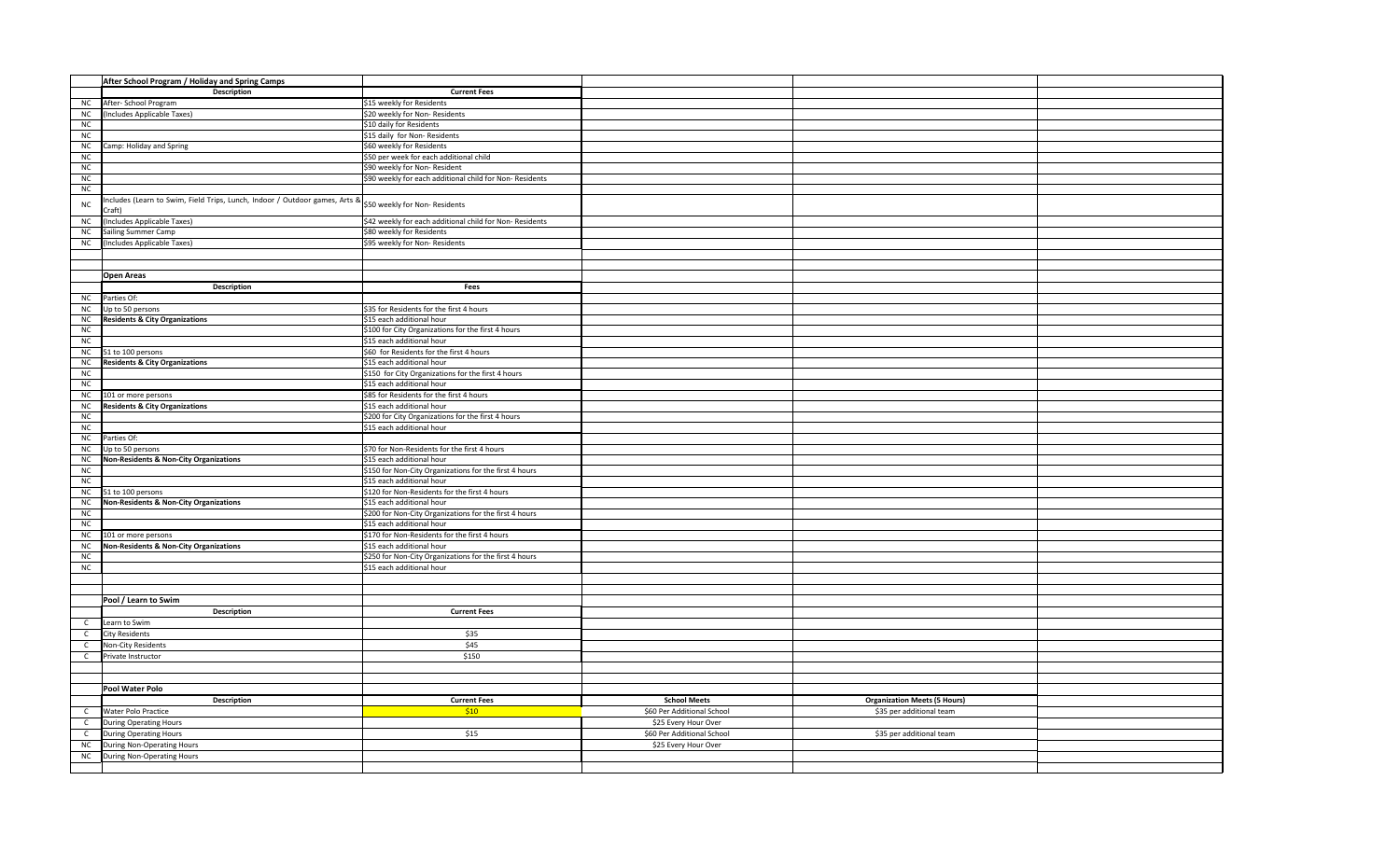|              | After School Program / Holiday and Spring Camps                            |                                                          |                            |                                     |  |
|--------------|----------------------------------------------------------------------------|----------------------------------------------------------|----------------------------|-------------------------------------|--|
|              | Description                                                                | <b>Current Fees</b>                                      |                            |                                     |  |
| <b>NC</b>    | After- School Program                                                      | \$15 weekly for Residents                                |                            |                                     |  |
| ${\sf NC}$   | (Includes Applicable Taxes)                                                | \$20 weekly for Non- Residents                           |                            |                                     |  |
| ${\sf NC}$   |                                                                            | \$10 daily for Residents                                 |                            |                                     |  |
| ${\sf NC}$   |                                                                            | \$15 daily for Non-Residents                             |                            |                                     |  |
| ${\sf NC}$   | Camp: Holiday and Spring                                                   | \$60 weekly for Residents                                |                            |                                     |  |
| ${\sf NC}$   |                                                                            | \$50 per week for each additional child                  |                            |                                     |  |
| ${\sf NC}$   |                                                                            | \$90 weekly for Non-Resident                             |                            |                                     |  |
| ${\sf NC}$   |                                                                            |                                                          |                            |                                     |  |
| NC           |                                                                            | \$90 weekly for each additional child for Non-Residents  |                            |                                     |  |
|              |                                                                            |                                                          |                            |                                     |  |
| ${\sf NC}$   | ncludes (Learn to Swim, Field Trips, Lunch, Indoor / Outdoor games, Arts & | \$50 weekly for Non- Residents                           |                            |                                     |  |
|              | Craft)                                                                     |                                                          |                            |                                     |  |
| ${\sf NC}$   | (Includes Applicable Taxes)                                                | \$42 weekly for each additional child for Non- Residents |                            |                                     |  |
| ${\sf NC}$   | Sailing Summer Camp                                                        | \$80 weekly for Residents                                |                            |                                     |  |
| NC           | (Includes Applicable Taxes)                                                | \$95 weekly for Non- Residents                           |                            |                                     |  |
|              |                                                                            |                                                          |                            |                                     |  |
|              |                                                                            |                                                          |                            |                                     |  |
|              | <b>Open Areas</b>                                                          |                                                          |                            |                                     |  |
|              | <b>Description</b>                                                         | Fees                                                     |                            |                                     |  |
| ${\sf NC}$   | Parties Of:                                                                |                                                          |                            |                                     |  |
| NC           | Up to 50 persons                                                           | \$35 for Residents for the first 4 hours                 |                            |                                     |  |
| ${\sf NC}$   | <b>Residents &amp; City Organizations</b>                                  | \$15 each additional hour                                |                            |                                     |  |
| ${\sf NC}$   |                                                                            | \$100 for City Organizations for the first 4 hours       |                            |                                     |  |
| NC           |                                                                            | \$15 each additional hour                                |                            |                                     |  |
| ${\sf NC}$   | 51 to 100 persons                                                          | \$60 for Residents for the first 4 hours                 |                            |                                     |  |
| NC           | <b>Residents &amp; City Organizations</b>                                  | \$15 each additional hour                                |                            |                                     |  |
| NC           |                                                                            | \$150 for City Organizations for the first 4 hours       |                            |                                     |  |
| ${\sf NC}$   |                                                                            | \$15 each additional hour                                |                            |                                     |  |
| NC           | 101 or more persons                                                        | \$85 for Residents for the first 4 hours                 |                            |                                     |  |
| ${\sf NC}$   | <b>Residents &amp; City Organizations</b>                                  | \$15 each additional hour                                |                            |                                     |  |
| ${\sf NC}$   |                                                                            | \$200 for City Organizations for the first 4 hours       |                            |                                     |  |
| NC           |                                                                            | \$15 each additional hour                                |                            |                                     |  |
| NC           | Parties Of:                                                                |                                                          |                            |                                     |  |
| ${\sf NC}$   | Up to 50 persons                                                           | \$70 for Non-Residents for the first 4 hours             |                            |                                     |  |
| ${\sf NC}$   | <b>Non-Residents &amp; Non-City Organizations</b>                          | \$15 each additional hour                                |                            |                                     |  |
|              |                                                                            |                                                          |                            |                                     |  |
| ${\sf NC}$   |                                                                            | \$150 for Non-City Organizations for the first 4 hours   |                            |                                     |  |
| ${\sf NC}$   |                                                                            | \$15 each additional hour                                |                            |                                     |  |
| NC           | 51 to 100 persons                                                          | \$120 for Non-Residents for the first 4 hours            |                            |                                     |  |
| NC           | Non-Residents & Non-City Organizations                                     | \$15 each additional hour                                |                            |                                     |  |
| NC           |                                                                            | \$200 for Non-City Organizations for the first 4 hours   |                            |                                     |  |
| ${\sf NC}$   |                                                                            | \$15 each additional hour                                |                            |                                     |  |
| NC           | 101 or more persons                                                        | \$170 for Non-Residents for the first 4 hours            |                            |                                     |  |
| NC           | Non-Residents & Non-City Organizations                                     | \$15 each additional hour                                |                            |                                     |  |
| $NC$         |                                                                            | \$250 for Non-City Organizations for the first 4 hours   |                            |                                     |  |
| NC           |                                                                            | \$15 each additional hour                                |                            |                                     |  |
|              |                                                                            |                                                          |                            |                                     |  |
|              |                                                                            |                                                          |                            |                                     |  |
|              | Pool / Learn to Swim                                                       |                                                          |                            |                                     |  |
|              | Description                                                                | <b>Current Fees</b>                                      |                            |                                     |  |
| $\mathsf{C}$ | Learn to Swim                                                              |                                                          |                            |                                     |  |
| $\mathsf C$  | <b>City Residents</b>                                                      | \$35                                                     |                            |                                     |  |
| $\mathsf C$  | Non-City Residents                                                         | \$45                                                     |                            |                                     |  |
| $\mathsf{C}$ | Private Instructor                                                         | \$150                                                    |                            |                                     |  |
|              |                                                                            |                                                          |                            |                                     |  |
|              |                                                                            |                                                          |                            |                                     |  |
|              | Pool Water Polo                                                            |                                                          |                            |                                     |  |
|              |                                                                            |                                                          |                            |                                     |  |
|              | Description                                                                | <b>Current Fees</b>                                      | <b>School Meets</b>        | <b>Organization Meets (5 Hours)</b> |  |
| $\mathsf{C}$ | Water Polo Practice                                                        | \$10                                                     | \$60 Per Additional School | \$35 per additional team            |  |
| $\mathsf{C}$ | <b>During Operating Hours</b>                                              |                                                          | \$25 Every Hour Over       |                                     |  |
| $\mathsf{C}$ | <b>During Operating Hours</b>                                              | \$15                                                     | \$60 Per Additional School | \$35 per additional team            |  |
| NC           | During Non-Operating Hours                                                 |                                                          | \$25 Every Hour Over       |                                     |  |
| NC           | During Non-Operating Hours                                                 |                                                          |                            |                                     |  |
|              |                                                                            |                                                          |                            |                                     |  |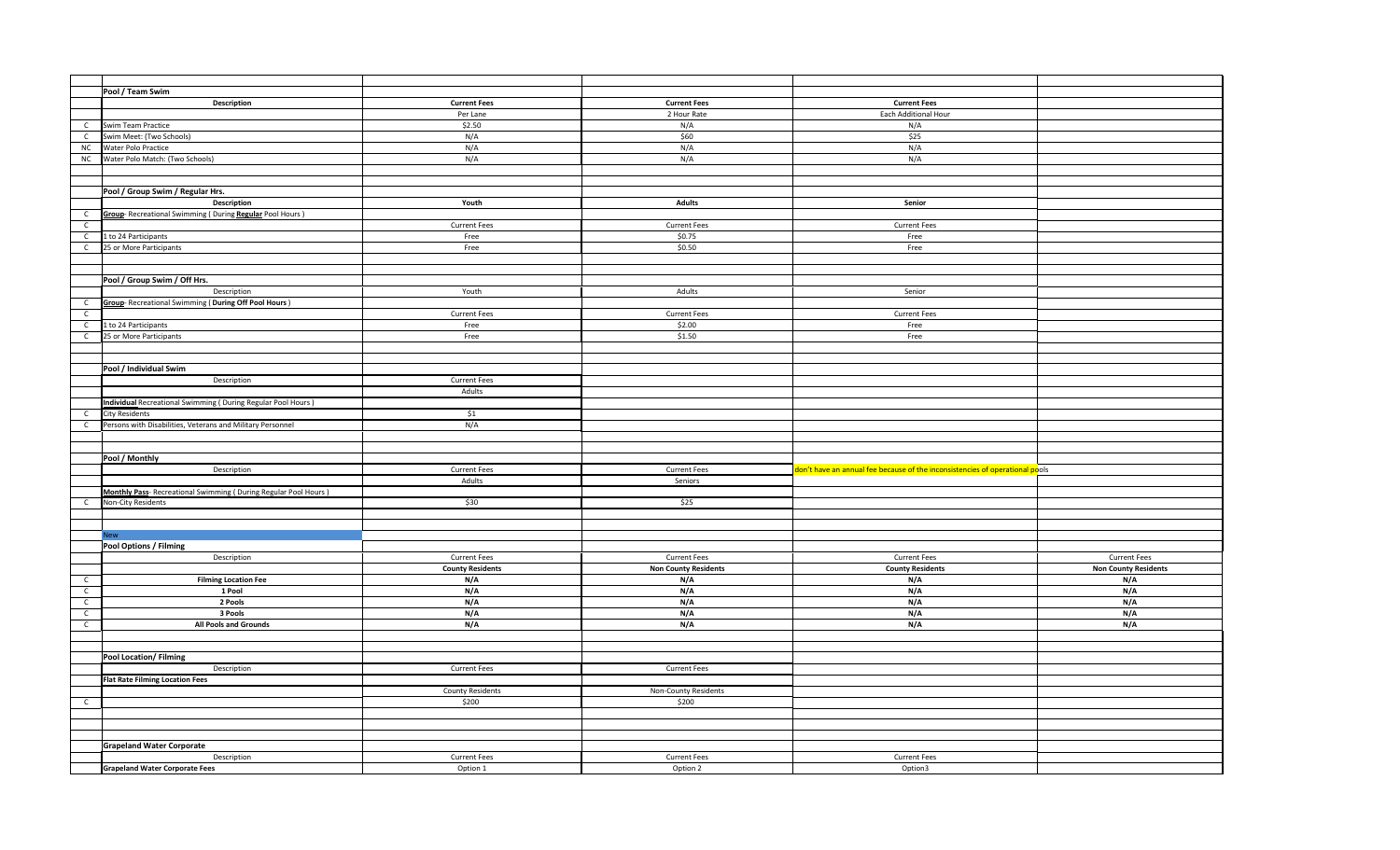|              | Pool / Team Swim                                                |                         |                             |                                                                              |                             |
|--------------|-----------------------------------------------------------------|-------------------------|-----------------------------|------------------------------------------------------------------------------|-----------------------------|
|              | Description                                                     | <b>Current Fees</b>     | <b>Current Fees</b>         | <b>Current Fees</b>                                                          |                             |
|              |                                                                 | Per Lane                | 2 Hour Rate                 | Each Additional Hour                                                         |                             |
| $\mathsf{C}$ | Swim Team Practice                                              | \$2.50                  | N/A                         | N/A                                                                          |                             |
|              | Swim Meet: (Two Schools)                                        | N/A                     | \$60                        | \$25                                                                         |                             |
| $\mathsf{C}$ |                                                                 |                         |                             |                                                                              |                             |
| ${\sf NC}$   | Water Polo Practice                                             | N/A                     | N/A                         | N/A                                                                          |                             |
| NC           | Water Polo Match: (Two Schools)                                 | N/A                     | N/A                         | N/A                                                                          |                             |
|              |                                                                 |                         |                             |                                                                              |                             |
|              |                                                                 |                         |                             |                                                                              |                             |
|              | Pool / Group Swim / Regular Hrs.                                |                         |                             |                                                                              |                             |
|              | <b>Description</b>                                              | Youth                   | <b>Adults</b>               | Senior                                                                       |                             |
| $\mathsf{C}$ | Group-Recreational Swimming (During Regular Pool Hours)         |                         |                             |                                                                              |                             |
| $\mathsf{C}$ |                                                                 | <b>Current Fees</b>     | <b>Current Fees</b>         | <b>Current Fees</b>                                                          |                             |
| $\mathsf{C}$ | 1 to 24 Participants                                            | Free                    | \$0.75                      | Free                                                                         |                             |
| $\mathsf{C}$ | 25 or More Participants                                         | Free                    | \$0.50                      | Free                                                                         |                             |
|              |                                                                 |                         |                             |                                                                              |                             |
|              |                                                                 |                         |                             |                                                                              |                             |
|              | Pool / Group Swim / Off Hrs.                                    |                         |                             |                                                                              |                             |
|              | Description                                                     | Youth                   | Adults                      | Senior                                                                       |                             |
|              |                                                                 |                         |                             |                                                                              |                             |
| $\mathsf{C}$ | Group-Recreational Swimming (During Off Pool Hours)             |                         |                             |                                                                              |                             |
| $\mathsf{C}$ |                                                                 | <b>Current Fees</b>     | <b>Current Fees</b>         | <b>Current Fees</b>                                                          |                             |
| $\mathsf{C}$ | 1 to 24 Participants                                            | Free                    | \$2.00                      | Free                                                                         |                             |
| $\mathsf{C}$ | 25 or More Participants                                         | Free                    | \$1.50                      | Free                                                                         |                             |
|              |                                                                 |                         |                             |                                                                              |                             |
|              |                                                                 |                         |                             |                                                                              |                             |
|              | Pool / Individual Swim                                          |                         |                             |                                                                              |                             |
|              | Description                                                     | <b>Current Fees</b>     |                             |                                                                              |                             |
|              |                                                                 | Adults                  |                             |                                                                              |                             |
|              | Individual Recreational Swimming (During Regular Pool Hours)    |                         |                             |                                                                              |                             |
| $\mathsf{C}$ | <b>City Residents</b>                                           | \$1                     |                             |                                                                              |                             |
| $\mathsf{C}$ | Persons with Disabilities, Veterans and Military Personnel      | N/A                     |                             |                                                                              |                             |
|              |                                                                 |                         |                             |                                                                              |                             |
|              |                                                                 |                         |                             |                                                                              |                             |
|              | Pool / Monthly                                                  |                         |                             |                                                                              |                             |
|              | Description                                                     | <b>Current Fees</b>     | <b>Current Fees</b>         | don't have an annual fee because of the inconsistencies of operational pools |                             |
|              |                                                                 | Adults                  | Seniors                     |                                                                              |                             |
|              |                                                                 |                         |                             |                                                                              |                             |
|              | Monthly Pass- Recreational Swimming (During Regular Pool Hours) |                         |                             |                                                                              |                             |
| $\mathsf{C}$ | Non-City Residents                                              | \$30                    | \$25                        |                                                                              |                             |
|              |                                                                 |                         |                             |                                                                              |                             |
|              |                                                                 |                         |                             |                                                                              |                             |
|              | <b>New</b>                                                      |                         |                             |                                                                              |                             |
|              | <b>Pool Options / Filming</b>                                   |                         |                             |                                                                              |                             |
|              | Description                                                     | <b>Current Fees</b>     | <b>Current Fees</b>         | <b>Current Fees</b>                                                          | <b>Current Fees</b>         |
|              |                                                                 | <b>County Residents</b> | <b>Non County Residents</b> | <b>County Residents</b>                                                      | <b>Non County Residents</b> |
| $\mathsf{C}$ | <b>Filming Location Fee</b>                                     | N/A                     | N/A                         | N/A                                                                          | N/A                         |
| $\mathsf{C}$ | 1 Pool                                                          | N/A                     | N/A                         | N/A                                                                          | N/A                         |
| $\mathsf{C}$ | 2 Pools                                                         | N/A                     | N/A                         | N/A                                                                          | N/A                         |
| $\mathsf{C}$ | 3 Pools                                                         | N/A                     | N/A                         | N/A                                                                          | N/A                         |
| $\mathsf{C}$ | All Pools and Grounds                                           | N/A                     | N/A                         | N/A                                                                          | N/A                         |
|              |                                                                 |                         |                             |                                                                              |                             |
|              |                                                                 |                         |                             |                                                                              |                             |
|              | <b>Pool Location/Filming</b>                                    |                         |                             |                                                                              |                             |
|              | Description                                                     | <b>Current Fees</b>     | <b>Current Fees</b>         |                                                                              |                             |
|              | <b>Flat Rate Filming Location Fees</b>                          |                         |                             |                                                                              |                             |
|              |                                                                 | <b>County Residents</b> | Non-County Residents        |                                                                              |                             |
|              |                                                                 |                         |                             |                                                                              |                             |
| $\mathsf{C}$ |                                                                 | \$200                   | \$200                       |                                                                              |                             |
|              |                                                                 |                         |                             |                                                                              |                             |
|              |                                                                 |                         |                             |                                                                              |                             |
|              |                                                                 |                         |                             |                                                                              |                             |
|              | <b>Grapeland Water Corporate</b>                                |                         |                             |                                                                              |                             |
|              | Description                                                     | <b>Current Fees</b>     | <b>Current Fees</b>         | <b>Current Fees</b>                                                          |                             |
|              | <b>Grapeland Water Corporate Fees</b>                           | Option 1                | Option 2                    | Option3                                                                      |                             |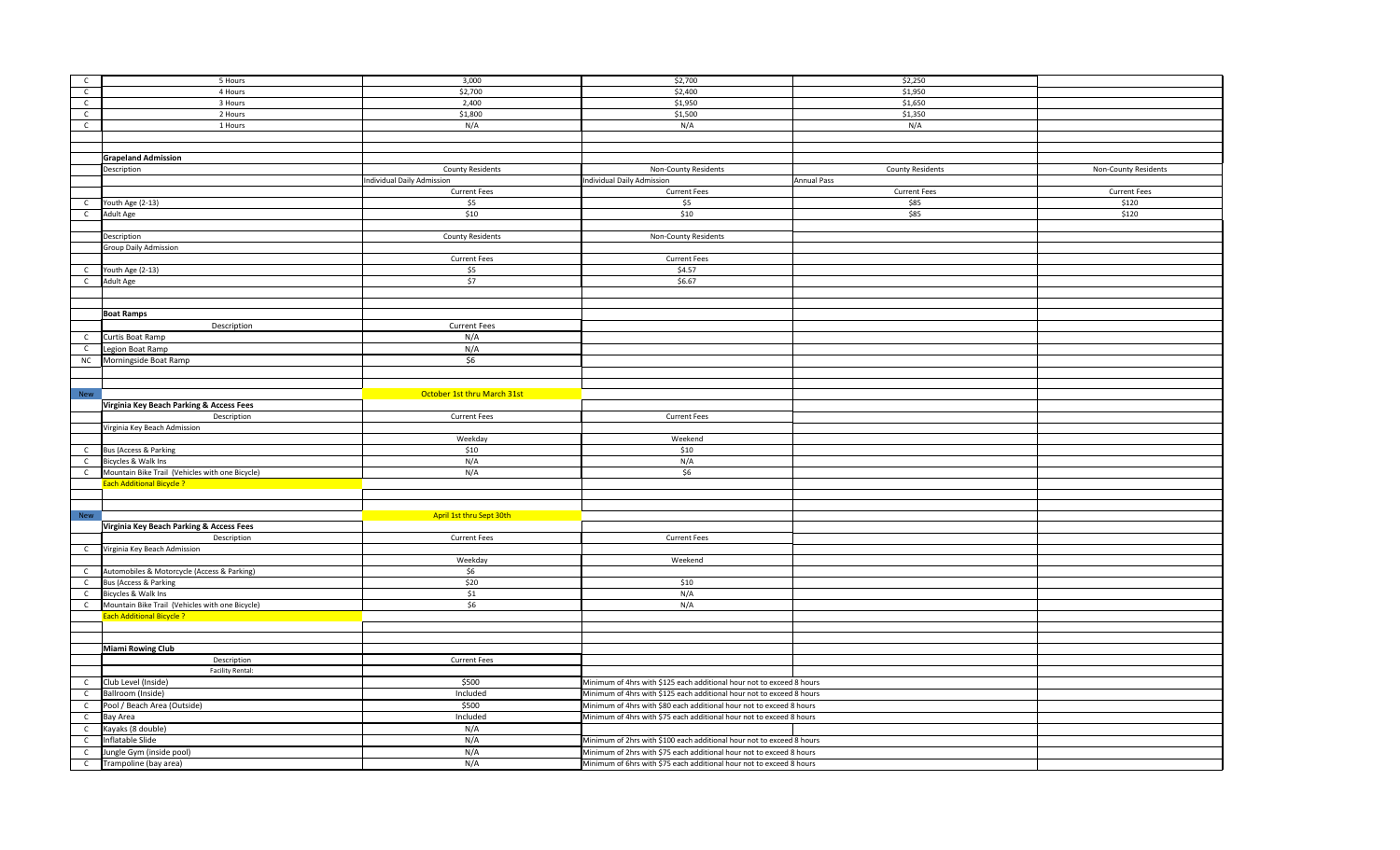| $\mathsf{C}$ | 5 Hours                                                                             | 3,000                             | \$2,700                                                               | \$2,250                 |                      |
|--------------|-------------------------------------------------------------------------------------|-----------------------------------|-----------------------------------------------------------------------|-------------------------|----------------------|
| $\mathsf{C}$ | 4 Hours                                                                             | \$2,700                           | \$2,400                                                               | \$1,950                 |                      |
| $\mathsf{C}$ | 3 Hours                                                                             | 2,400                             | \$1,950                                                               | \$1,650                 |                      |
| $\mathsf{C}$ | 2 Hours                                                                             | \$1,800                           | \$1,500                                                               | \$1,350                 |                      |
| $\mathsf{C}$ | 1 Hours                                                                             | N/A                               | N/A                                                                   | N/A                     |                      |
|              |                                                                                     |                                   |                                                                       |                         |                      |
|              |                                                                                     |                                   |                                                                       |                         |                      |
|              | <b>Grapeland Admission</b>                                                          |                                   |                                                                       |                         |                      |
|              | Description                                                                         | <b>County Residents</b>           | Non-County Residents                                                  | <b>County Residents</b> | Non-County Residents |
|              |                                                                                     | <b>Individual Daily Admission</b> | Individual Daily Admission                                            | Annual Pass             |                      |
|              |                                                                                     | <b>Current Fees</b>               | <b>Current Fees</b>                                                   | <b>Current Fees</b>     | <b>Current Fees</b>  |
| $\mathsf{C}$ | Youth Age (2-13)                                                                    | \$5                               | \$5                                                                   | \$85                    | \$120                |
| $\mathsf{C}$ | Adult Age                                                                           | \$10                              | \$10                                                                  | \$85                    | \$120                |
|              |                                                                                     |                                   |                                                                       |                         |                      |
|              | Description                                                                         | <b>County Residents</b>           | Non-County Residents                                                  |                         |                      |
|              | Group Daily Admission                                                               |                                   |                                                                       |                         |                      |
|              |                                                                                     | <b>Current Fees</b>               | <b>Current Fees</b>                                                   |                         |                      |
| $\mathsf{C}$ | Youth Age (2-13)                                                                    | \$5                               | \$4.57                                                                |                         |                      |
| $\mathsf{C}$ | Adult Age                                                                           | \$7                               | \$6.67                                                                |                         |                      |
|              |                                                                                     |                                   |                                                                       |                         |                      |
|              |                                                                                     |                                   |                                                                       |                         |                      |
|              | <b>Boat Ramps</b>                                                                   |                                   |                                                                       |                         |                      |
|              | Description                                                                         | <b>Current Fees</b>               |                                                                       |                         |                      |
| C            | Curtis Boat Ramp                                                                    | N/A                               |                                                                       |                         |                      |
| $\mathsf{C}$ | Legion Boat Ramp                                                                    | N/A                               |                                                                       |                         |                      |
| <b>NC</b>    | Morningside Boat Ramp                                                               | \$6                               |                                                                       |                         |                      |
|              |                                                                                     |                                   |                                                                       |                         |                      |
|              |                                                                                     |                                   |                                                                       |                         |                      |
| <b>New</b>   |                                                                                     | October 1st thru March 31st       |                                                                       |                         |                      |
|              | Virginia Key Beach Parking & Access Fees                                            |                                   |                                                                       |                         |                      |
|              | Description                                                                         | <b>Current Fees</b>               | <b>Current Fees</b>                                                   |                         |                      |
|              | Virginia Key Beach Admission                                                        |                                   |                                                                       |                         |                      |
|              |                                                                                     | Weekday                           | Weekend                                                               |                         |                      |
| $\mathsf{C}$ | Bus (Access & Parking                                                               | \$10                              | \$10                                                                  |                         |                      |
| $\mathsf{C}$ | Bicycles & Walk Ins                                                                 | N/A                               | N/A                                                                   |                         |                      |
| $\mathsf{C}$ | Mountain Bike Trail (Vehicles with one Bicycle)                                     | N/A                               | \$6                                                                   |                         |                      |
|              | <b>Each Additional Bicycle ?</b>                                                    |                                   |                                                                       |                         |                      |
|              |                                                                                     |                                   |                                                                       |                         |                      |
|              |                                                                                     |                                   |                                                                       |                         |                      |
| <b>New</b>   |                                                                                     | April 1st thru Sept 30th          |                                                                       |                         |                      |
|              | Virginia Key Beach Parking & Access Fees                                            |                                   |                                                                       |                         |                      |
|              | Description                                                                         | <b>Current Fees</b>               | <b>Current Fees</b>                                                   |                         |                      |
| $\mathsf{C}$ | Virginia Key Beach Admission                                                        |                                   |                                                                       |                         |                      |
|              |                                                                                     | Weekday                           | Weekend                                                               |                         |                      |
| $\mathsf{C}$ | Automobiles & Motorcycle (Access & Parking)                                         | \$6                               |                                                                       |                         |                      |
| $\mathsf{C}$ | Bus (Access & Parking                                                               | \$20<br>\$1                       | \$10<br>N/A                                                           |                         |                      |
| $\mathsf{C}$ | Bicycles & Walk Ins                                                                 | \$6                               | N/A                                                                   |                         |                      |
| $\mathsf{C}$ | Mountain Bike Trail (Vehicles with one Bicycle)<br><b>Each Additional Bicycle ?</b> |                                   |                                                                       |                         |                      |
|              |                                                                                     |                                   |                                                                       |                         |                      |
|              |                                                                                     |                                   |                                                                       |                         |                      |
|              | <b>Miami Rowing Club</b>                                                            |                                   |                                                                       |                         |                      |
|              | Description                                                                         | <b>Current Fees</b>               |                                                                       |                         |                      |
|              | <b>Facility Rental:</b>                                                             |                                   |                                                                       |                         |                      |
| $\mathsf{C}$ | Club Level (Inside)                                                                 | \$500                             | Minimum of 4hrs with \$125 each additional hour not to exceed 8 hours |                         |                      |
| $\mathsf{C}$ | Ballroom (Inside)                                                                   | Included                          | Minimum of 4hrs with \$125 each additional hour not to exceed 8 hours |                         |                      |
| $\mathsf{C}$ | Pool / Beach Area (Outside)                                                         | \$500                             | Minimum of 4hrs with \$80 each additional hour not to exceed 8 hours  |                         |                      |
| $\mathsf{C}$ | Bay Area                                                                            | Included                          | Minimum of 4hrs with \$75 each additional hour not to exceed 8 hours  |                         |                      |
| $\mathsf{C}$ | Kayaks (8 double)                                                                   | N/A                               |                                                                       |                         |                      |
| $\mathsf{C}$ | Inflatable Slide                                                                    | N/A                               | Minimum of 2hrs with \$100 each additional hour not to exceed 8 hours |                         |                      |
| $\mathsf{C}$ |                                                                                     | N/A                               | Minimum of 2hrs with \$75 each additional hour not to exceed 8 hours  |                         |                      |
|              | Jungle Gym (inside pool)                                                            |                                   |                                                                       |                         |                      |
| $\mathsf{C}$ | Trampoline (bay area)                                                               | N/A                               | Minimum of 6hrs with \$75 each additional hour not to exceed 8 hours  |                         |                      |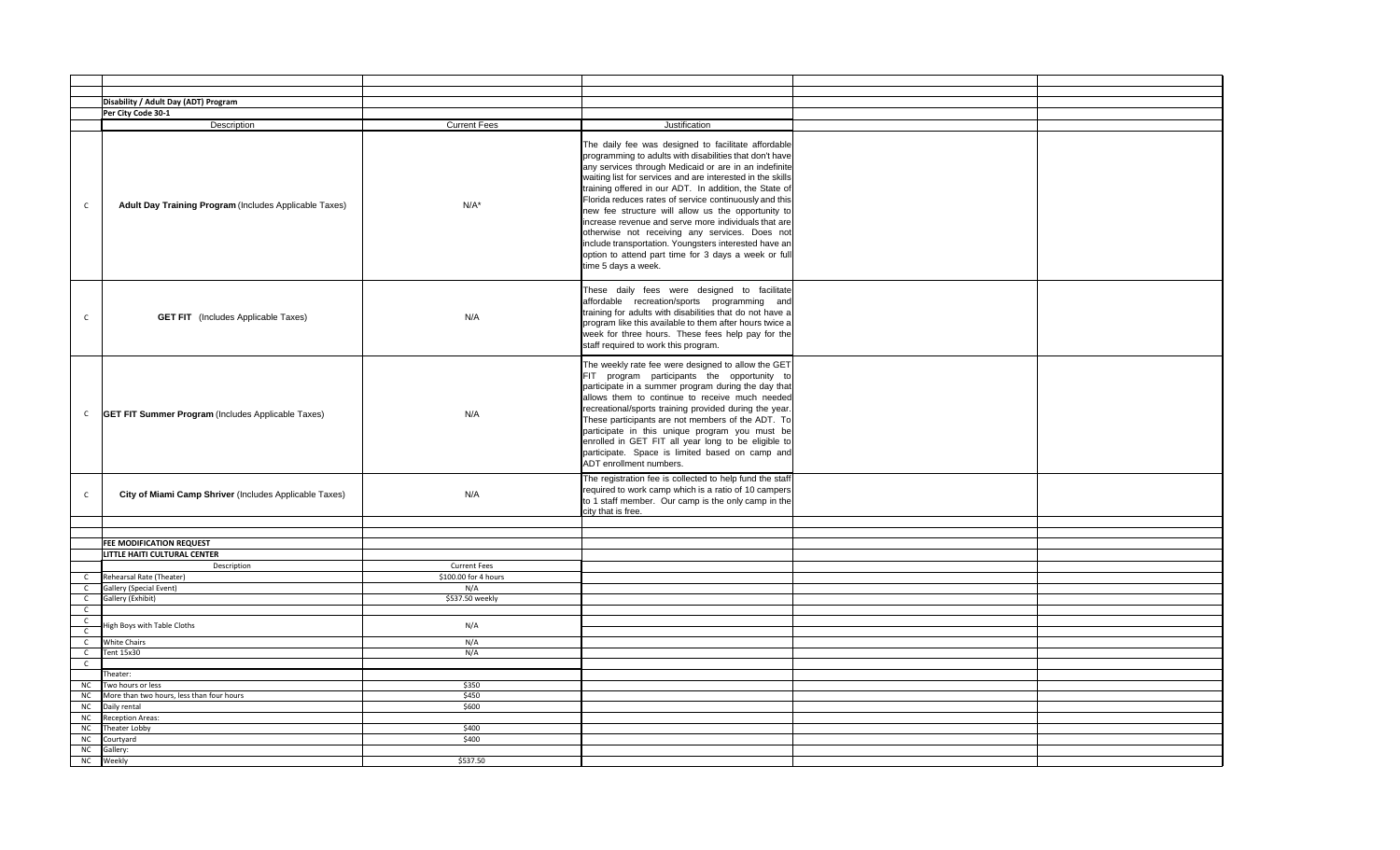|                              | Disability / Adult Day (ADT) Program                      |                      |                                                                                                                                                                                                                                                                                                                                                                                                                                                                                                                                                                                                                                                                   |  |
|------------------------------|-----------------------------------------------------------|----------------------|-------------------------------------------------------------------------------------------------------------------------------------------------------------------------------------------------------------------------------------------------------------------------------------------------------------------------------------------------------------------------------------------------------------------------------------------------------------------------------------------------------------------------------------------------------------------------------------------------------------------------------------------------------------------|--|
|                              | Per City Code 30-1                                        |                      |                                                                                                                                                                                                                                                                                                                                                                                                                                                                                                                                                                                                                                                                   |  |
|                              | Description                                               | <b>Current Fees</b>  | Justification                                                                                                                                                                                                                                                                                                                                                                                                                                                                                                                                                                                                                                                     |  |
| $\mathsf{C}$                 | Adult Day Training Program (Includes Applicable Taxes)    | $N/A^*$              | The daily fee was designed to facilitate affordable<br>programming to adults with disabilities that don't have<br>any services through Medicaid or are in an indefinite<br>waiting list for services and are interested in the skills<br>training offered in our ADT. In addition, the State of<br>Florida reduces rates of service continuously and this<br>new fee structure will allow us the opportunity to<br>increase revenue and serve more individuals that are<br>otherwise not receiving any services. Does not<br>include transportation. Youngsters interested have an<br>option to attend part time for 3 days a week or full<br>time 5 days a week. |  |
| $\mathsf{C}$                 | <b>GET FIT</b> (Includes Applicable Taxes)                | N/A                  | These daily fees were designed to facilitate<br>affordable recreation/sports programming and<br>training for adults with disabilities that do not have a<br>program like this available to them after hours twice a<br>week for three hours. These fees help pay for the<br>staff required to work this program.                                                                                                                                                                                                                                                                                                                                                  |  |
| $\mathsf{C}$                 | <b>GET FIT Summer Program</b> (Includes Applicable Taxes) | N/A                  | The weekly rate fee were designed to allow the GET<br>FIT program participants the opportunity to<br>participate in a summer program during the day that<br>allows them to continue to receive much needed<br>recreational/sports training provided during the year.<br>These participants are not members of the ADT. To<br>participate in this unique program you must be<br>enrolled in GET FIT all year long to be eligible to<br>participate. Space is limited based on camp and<br>ADT enrollment numbers.                                                                                                                                                  |  |
| $\mathsf{C}$                 | City of Miami Camp Shriver (Includes Applicable Taxes)    | N/A                  | The registration fee is collected to help fund the staff<br>required to work camp which is a ratio of 10 campers<br>to 1 staff member. Our camp is the only camp in the<br>city that is free.                                                                                                                                                                                                                                                                                                                                                                                                                                                                     |  |
|                              |                                                           |                      |                                                                                                                                                                                                                                                                                                                                                                                                                                                                                                                                                                                                                                                                   |  |
|                              | <b>FEE MODIFICATION REQUEST</b>                           |                      |                                                                                                                                                                                                                                                                                                                                                                                                                                                                                                                                                                                                                                                                   |  |
|                              | LITTLE HAITI CULTURAL CENTER                              |                      |                                                                                                                                                                                                                                                                                                                                                                                                                                                                                                                                                                                                                                                                   |  |
|                              | Description                                               | <b>Current Fees</b>  |                                                                                                                                                                                                                                                                                                                                                                                                                                                                                                                                                                                                                                                                   |  |
| $\mathsf{C}$                 | Rehearsal Rate (Theater)                                  | \$100.00 for 4 hours |                                                                                                                                                                                                                                                                                                                                                                                                                                                                                                                                                                                                                                                                   |  |
| $\mathsf{C}$                 | Gallery (Special Event)                                   | N/A                  |                                                                                                                                                                                                                                                                                                                                                                                                                                                                                                                                                                                                                                                                   |  |
| $\mathsf{C}$                 | Gallery (Exhibit)                                         | \$537.50 weekly      |                                                                                                                                                                                                                                                                                                                                                                                                                                                                                                                                                                                                                                                                   |  |
| $\mathsf{C}$                 |                                                           |                      |                                                                                                                                                                                                                                                                                                                                                                                                                                                                                                                                                                                                                                                                   |  |
| $\mathsf C$                  | ligh Boys with Table Cloths                               | N/A                  |                                                                                                                                                                                                                                                                                                                                                                                                                                                                                                                                                                                                                                                                   |  |
| $\mathsf{C}$<br>$\mathsf{C}$ | <b>White Chairs</b>                                       | N/A                  |                                                                                                                                                                                                                                                                                                                                                                                                                                                                                                                                                                                                                                                                   |  |
| $\mathsf{C}$                 | Tent 15x30                                                | N/A                  |                                                                                                                                                                                                                                                                                                                                                                                                                                                                                                                                                                                                                                                                   |  |
| $\mathsf{C}$                 |                                                           |                      |                                                                                                                                                                                                                                                                                                                                                                                                                                                                                                                                                                                                                                                                   |  |
|                              | Theater:                                                  |                      |                                                                                                                                                                                                                                                                                                                                                                                                                                                                                                                                                                                                                                                                   |  |
| <b>NC</b>                    | Two hours or less                                         | \$350                |                                                                                                                                                                                                                                                                                                                                                                                                                                                                                                                                                                                                                                                                   |  |
| ${\sf NC}$                   | More than two hours, less than four hours                 | \$450                |                                                                                                                                                                                                                                                                                                                                                                                                                                                                                                                                                                                                                                                                   |  |
| NC                           | Daily rental                                              | \$600                |                                                                                                                                                                                                                                                                                                                                                                                                                                                                                                                                                                                                                                                                   |  |
| NC                           | <b>Reception Areas:</b>                                   | \$400                |                                                                                                                                                                                                                                                                                                                                                                                                                                                                                                                                                                                                                                                                   |  |
| NC<br>NC                     | Theater Lobby<br>Courtyard                                | \$400                |                                                                                                                                                                                                                                                                                                                                                                                                                                                                                                                                                                                                                                                                   |  |
| NC                           | Gallery:                                                  |                      |                                                                                                                                                                                                                                                                                                                                                                                                                                                                                                                                                                                                                                                                   |  |
| NC                           | Weekly                                                    | \$537.50             |                                                                                                                                                                                                                                                                                                                                                                                                                                                                                                                                                                                                                                                                   |  |